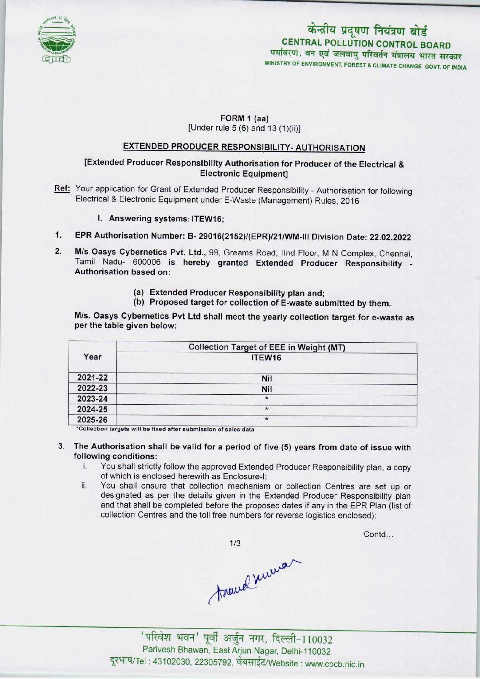

## केन्द्रीय प्रदूषण नियंत्रण बोर्ड CENTRAL POLLUTION CONTROL BOARD पर्यावरण, वन एवं जलवायु परिवर्तन मंत्रालय भारत सरकार MINISTRY OF ENVIRONMENT, FOREST & CLIMATE CHANGE GOVT. OF INDIA

Contd...

# FORM 1 (aa)

[Under rule  $5(6)$  and  $13(1)(ii)$ ]

## EXTENDED PRODUCER RESPONSIBILITY- AUTHORISATION

### [Extended Producer Responsibility Authorisation for Producer of the Electrical & Electronic Equipment]

- Ref: Your application for Grant of Extended Producer Responsibility Authorisation for following Electrical & Electronic Equipment under E-Waste (Management) Rules, 2016
	- I. Answering systems: ITEW16;
- 1.EPR Authorisation Number: B-29016{2152>/(EPR)/21/WM-lll Division Date: 22.02.2022
- 2. EPR Authorisation Number: B- 29016(2152)/(EPR)/21/WM-III Division Date: 22.02.2022<br>2. M/s Oasys Cybernetics Pvt. Ltd., 99, Greams Road, IInd Floor, M N Complex, Chennai M/s Oasys Cybernetics Pvt. Ltd., 99, Greams Road, IInd Floor, M N Complex, Chennai, Tamil Nadu- 600006 is hereby granted Extended Producer Responsibility -Authorisation based on:
	- (a)Extended Producer Responsibility plan and;
	- (b) Proposed target for collection of E-waste submitted by them.

M/s. Oasys Cybernetics Pvt Ltd shall meet the yearly collection target for e-waste as per the table given below:

|         | <b>Collection Target of EEE in Weight (MT)</b> |
|---------|------------------------------------------------|
| Year    | ITEW16                                         |
| 2021-22 | Nil                                            |
| 2022-23 | Nil                                            |
| 2023-24 | $\star$                                        |
| 2024-25 | $\star$                                        |
| 2025-26 | $\ast$                                         |

\*Collection targets will be fixed after submission of sales data

#### 3. The Authorisation shall be valid for a period of five (5) years from date of issue with following conditions:

- i. You shall strictly follow the approved Extended Producer Responsibility plan, <sup>a</sup> copy of which is enclosed herewith as Enclosure-I;
- ii. You shall ensure that collection mechanism or collection Centres are set up or designated as per the details given in the Extended Producer Responsibility plan and that shall be completed before the proposed dates if any in the EPR Plan (list of collection Centres and the toll free numbers for reverse logistics enclosed);

 $1/3$ 

Around numar

' परिवेश भवन' पूर्वी अर्जुन नगर, दिल्ली-110032 Parivesh Bhawan, EastArjun Nagar, Delhi-110032 दूरभाष/Tel: 43102030, 22305792, वेबसाईट/Website : www.cpcb.nic.in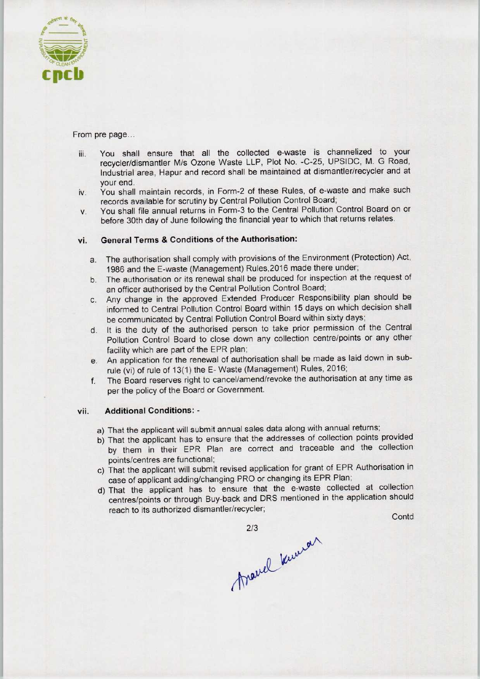

From pre page...

- iii. You shall ensure that all the collected e-waste is channelized to your recycler/dismantler M/s Ozone Waste LLP, Plot No. -C-25, UPSIDC, M. G Road, Industrial area, Hapur and record shall be maintained at dismantler/recycler and at your end.
- iv. You shall maintain records, in Form-2 of these Rules, of e-waste and make such records available for scrutiny by Central Pollution Control Board;
- v. You shall file annual returns in Form-3 to the Central Pollution Control Board on or before 30th day of June following the financial year to which that returns relates.

#### vi. General Terms & Conditions of the Authorisation:

- a.The authorisation shall comply with provisions of the Environment (Protection) Act, 1986 and the E-waste (Management) Rules,2016 made there under;
- b. The authorisation or its renewal shall be produced for inspection at the request of an officer authorised by the Central Pollution Control Board;
- c.Any change in the approved Extended Producer Responsibility plan should be informed to Central Pollution Control Board within 15 days on which decision shall be communicated by Central Pollution Control Board within sixty days;
- d. It is the duty of the authorised person to take prior permission of the Central Pollution Control Board to close down any collection centre/points or any other facility which are part of the EPR plan;
- e.An application for the renewal of authorisation shall be made aslaid down in subrule (vi) of rule of 13(1) the E- Waste (Management) Rules, 2016;
- f. The Board reserves right to cancel/amend/revoke the authorisation at any time as per the policy of the Board or Government.

#### vii. Additional Conditions: -

- a)That the applicant will submit annual sales data along with annual returns;
- b) That the applicant has to ensure that the addresses of collection points provided by them in their EPR Plan are correct and traceable and the collection points/centres are functional;
- c) That the applicant will submit revised application for grant of EPR Authorisation in case of applicant adding/changing PRO or changing its EPR Plan;
- d)That the applicant has to ensure that the e-waste collected at collection centres/points or through Buy-back and DRS mentioned in the application should Pollution Control Board to close down any collection centrality which are part of the EPR plan;<br>
An application for the renewal of authorisation shall be made (vi) of rule of 13(1) the E-Waste (Management) Rules, i.<br>
The Ie and the collection<br>of EPR Authorisation in<br>R Plan;<br>collected at collection<br>the application should<br>Contd

2/3

Veru